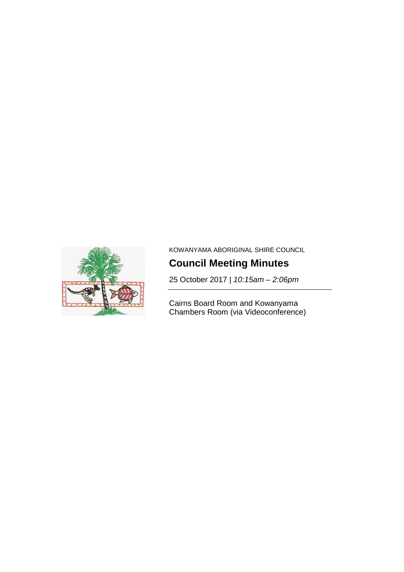

KOWANYAMA ABORIGINAL SHIRE COUNCIL

# **Council Meeting Minutes**

25 October 2017 | *10:15am – 2:06pm*

Cairns Board Room and Kowanyama Chambers Room (via Videoconference)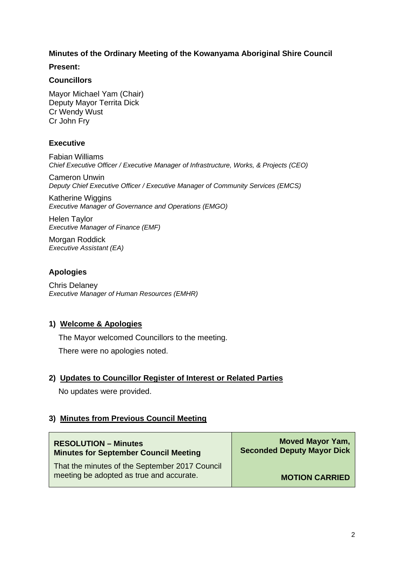# **Minutes of the Ordinary Meeting of the Kowanyama Aboriginal Shire Council**

**Present:**

#### **Councillors**

Mayor Michael Yam (Chair) Deputy Mayor Territa Dick Cr Wendy Wust Cr John Fry

## **Executive**

Fabian Williams *Chief Executive Officer / Executive Manager of Infrastructure, Works, & Projects (CEO)* 

Cameron Unwin *Deputy Chief Executive Officer / Executive Manager of Community Services (EMCS)* 

Katherine Wiggins *Executive Manager of Governance and Operations (EMGO)* 

Helen Taylor *Executive Manager of Finance (EMF)* 

Morgan Roddick *Executive Assistant (EA)* 

# **Apologies**

Chris Delaney *Executive Manager of Human Resources (EMHR)* 

# **1) Welcome & Apologies**

The Mayor welcomed Councillors to the meeting.

There were no apologies noted.

# **2) Updates to Councillor Register of Interest or Related Parties**

No updates were provided.

# **3) Minutes from Previous Council Meeting**

| <b>RESOLUTION - Minutes</b>                                                                | <b>Moved Mayor Yam,</b>           |
|--------------------------------------------------------------------------------------------|-----------------------------------|
| <b>Minutes for September Council Meeting</b>                                               | <b>Seconded Deputy Mayor Dick</b> |
| That the minutes of the September 2017 Council<br>meeting be adopted as true and accurate. | <b>MOTION CARRIED</b>             |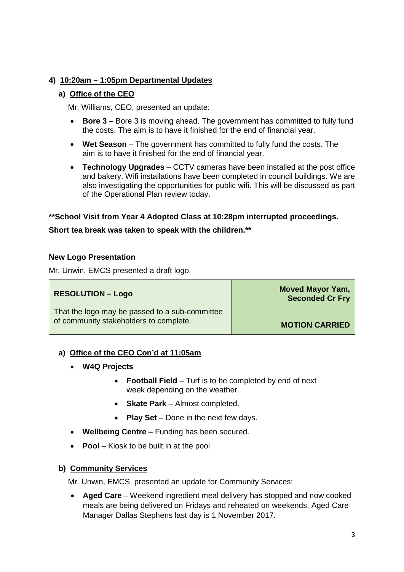# **4) 10:20am – 1:05pm Departmental Updates**

# **a) Office of the CEO**

Mr. Williams, CEO, presented an update:

- **Bore 3** Bore 3 is moving ahead. The government has committed to fully fund the costs. The aim is to have it finished for the end of financial year.
- **Wet Season**  The government has committed to fully fund the costs. The aim is to have it finished for the end of financial year.
- **Technology Upgrades** CCTV cameras have been installed at the post office and bakery. Wifi installations have been completed in council buildings. We are also investigating the opportunities for public wifi. This will be discussed as part of the Operational Plan review today.

# **\*\*School Visit from Year 4 Adopted Class at 10:28pm interrupted proceedings.**

## **Short tea break was taken to speak with the children.\*\***

#### **New Logo Presentation**

Mr. Unwin, EMCS presented a draft logo.

#### **RESOLUTION – Logo**

That the logo may be passed to a sub-committee of community stakeholders to complete.

**Moved Mayor Yam, Seconded Cr Fry**

**MOTION CARRIED**

#### **a) Office of the CEO Con'd at 11:05am**

- **W4Q Projects**
	- **Football Field** Turf is to be completed by end of next week depending on the weather.
	- **Skate Park** Almost completed.
	- **Play Set** Done in the next few days.
- **Wellbeing Centre**  Funding has been secured.
- **Pool** Kiosk to be built in at the pool

# **b) Community Services**

Mr. Unwin, EMCS, presented an update for Community Services:

• **Aged Care** – Weekend ingredient meal delivery has stopped and now cooked meals are being delivered on Fridays and reheated on weekends. Aged Care Manager Dallas Stephens last day is 1 November 2017.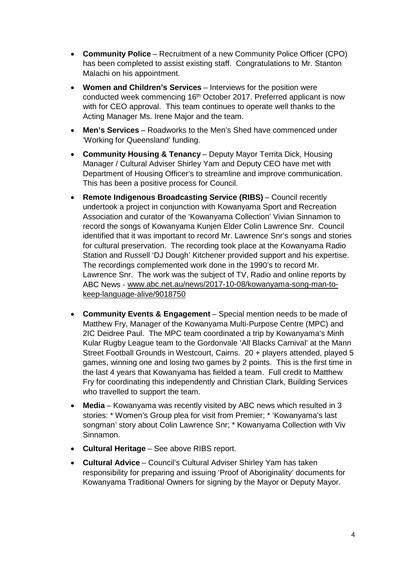- **Community Police** Recruitment of a new Community Police Officer (CPO) has been completed to assist existing staff. Congratulations to Mr. Stanton Malachi on his appointment.
- **Women and Children's Services** Interviews for the position were conducted week commencing 16th October 2017. Preferred applicant is now with for CEO approval. This team continues to operate well thanks to the Acting Manager Ms. Irene Major and the team.
- **Men's Services** Roadworks to the Men's Shed have commenced under 'Working for Queensland' funding.
- **Community Housing & Tenancy** Deputy Mayor Territa Dick, Housing Manager / Cultural Adviser Shirley Yam and Deputy CEO have met with Department of Housing Officer's to streamline and improve communication. This has been a positive process for Council.
- **Remote Indigenous Broadcasting Service (RIBS)** Council recently undertook a project in conjunction with Kowanyama Sport and Recreation Association and curator of the 'Kowanyama Collection' Vivian Sinnamon to record the songs of Kowanyama Kunjen Elder Colin Lawrence Snr. Council identified that it was important to record Mr. Lawrence Snr's songs and stories for cultural preservation. The recording took place at the Kowanyama Radio Station and Russell 'DJ Dough' Kitchener provided support and his expertise. The recordings complemented work done in the 1990's to record Mr. Lawrence Snr. The work was the subject of TV, Radio and online reports by ABC News - [www.abc.net.au/news/2017-10-08/kowanyama-song-man-to](http://www.abc.net.au/news/2017-10-08/kowanyama-song-man-to-keep-language-alive/9018750)[keep-language-alive/9018750](http://www.abc.net.au/news/2017-10-08/kowanyama-song-man-to-keep-language-alive/9018750)
- **Community Events & Engagement** Special mention needs to be made of Matthew Fry, Manager of the Kowanyama Multi-Purpose Centre (MPC) and 2IC Deidree Paul. The MPC team coordinated a trip by Kowanyama's Minh Kular Rugby League team to the Gordonvale 'All Blacks Carnival' at the Mann Street Football Grounds in Westcourt, Cairns. 20 + players attended, played 5 games, winning one and losing two games by 2 points. This is the first time in the last 4 years that Kowanyama has fielded a team. Full credit to Matthew Fry for coordinating this independently and Christian Clark, Building Services who travelled to support the team.
- **Media** Kowanyama was recently visited by ABC news which resulted in 3 stories: \* Women's Group plea for visit from Premier; \* 'Kowanyama's last songman' story about Colin Lawrence Snr; \* Kowanyama Collection with Viv Sinnamon.
- **Cultural Heritage** See above RIBS report.
- **Cultural Advice** Council's Cultural Adviser Shirley Yam has taken responsibility for preparing and issuing 'Proof of Aboriginality' documents for Kowanyama Traditional Owners for signing by the Mayor or Deputy Mayor.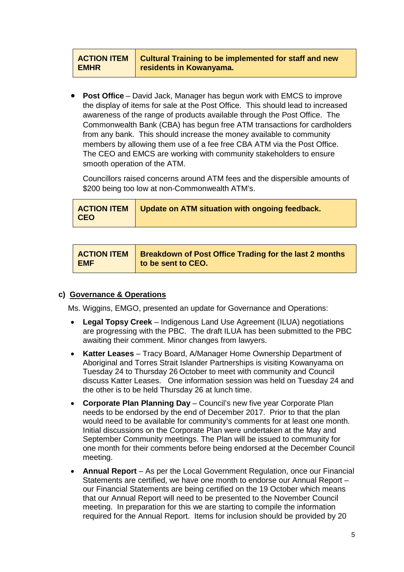#### **ACTION ITEM EMHR Cultural Training to be implemented for staff and new residents in Kowanyama.**

• **Post Office** – David Jack, Manager has begun work with EMCS to improve the display of items for sale at the Post Office. This should lead to increased awareness of the range of products available through the Post Office. The Commonwealth Bank (CBA) has begun free ATM transactions for cardholders from any bank. This should increase the money available to community members by allowing them use of a fee free CBA ATM via the Post Office. The CEO and EMCS are working with community stakeholders to ensure smooth operation of the ATM.

Councillors raised concerns around ATM fees and the dispersible amounts of \$200 being too low at non-Commonwealth ATM's.

|            | ACTION ITEM   Update on ATM situation with ongoing feedback. |  |  |  |  |
|------------|--------------------------------------------------------------|--|--|--|--|
| <b>CEO</b> |                                                              |  |  |  |  |

|            | <b>ACTION ITEM</b>   Breakdown of Post Office Trading for the last 2 months |
|------------|-----------------------------------------------------------------------------|
| <b>EMF</b> | to be sent to CEO.                                                          |

#### **c) Governance & Operations**

Ms. Wiggins, EMGO, presented an update for Governance and Operations:

- **Legal Topsy Creek** Indigenous Land Use Agreement (ILUA) negotiations are progressing with the PBC. The draft ILUA has been submitted to the PBC awaiting their comment. Minor changes from lawyers.
- **Katter Leases**  Tracy Board, A/Manager Home Ownership Department of Aboriginal and Torres Strait Islander Partnerships is visiting Kowanyama on Tuesday 24 to Thursday 26 October to meet with community and Council discuss Katter Leases. One information session was held on Tuesday 24 and the other is to be held Thursday 26 at lunch time.
- **Corporate Plan Planning Day** Council's new five year Corporate Plan needs to be endorsed by the end of December 2017. Prior to that the plan would need to be available for community's comments for at least one month. Initial discussions on the Corporate Plan were undertaken at the May and September Community meetings. The Plan will be issued to community for one month for their comments before being endorsed at the December Council meeting.
- **Annual Report** As per the Local Government Regulation, once our Financial Statements are certified, we have one month to endorse our Annual Report – our Financial Statements are being certified on the 19 October which means that our Annual Report will need to be presented to the November Council meeting. In preparation for this we are starting to compile the information required for the Annual Report. Items for inclusion should be provided by 20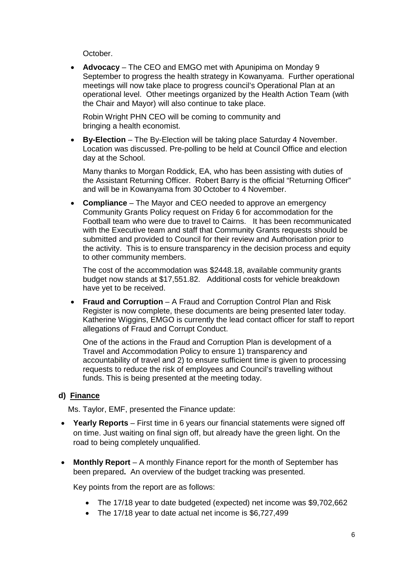October.

• **Advocacy** – The CEO and EMGO met with Apunipima on Monday 9 September to progress the health strategy in Kowanyama. Further operational meetings will now take place to progress council's Operational Plan at an operational level. Other meetings organized by the Health Action Team (with the Chair and Mayor) will also continue to take place.

Robin Wright PHN CEO will be coming to community and bringing a health economist.

• **By-Election** – The By-Election will be taking place Saturday 4 November. Location was discussed. Pre-polling to be held at Council Office and election day at the School.

Many thanks to Morgan Roddick, EA, who has been assisting with duties of the Assistant Returning Officer. Robert Barry is the official "Returning Officer" and will be in Kowanyama from 30 October to 4 November.

• **Compliance** – The Mayor and CEO needed to approve an emergency Community Grants Policy request on Friday 6 for accommodation for the Football team who were due to travel to Cairns. It has been recommunicated with the Executive team and staff that Community Grants requests should be submitted and provided to Council for their review and Authorisation prior to the activity. This is to ensure transparency in the decision process and equity to other community members.

The cost of the accommodation was \$2448.18, available community grants budget now stands at \$17,551.82. Additional costs for vehicle breakdown have yet to be received.

• **Fraud and Corruption** – A Fraud and Corruption Control Plan and Risk Register is now complete, these documents are being presented later today. Katherine Wiggins, EMGO is currently the lead contact officer for staff to report allegations of Fraud and Corrupt Conduct.

One of the actions in the Fraud and Corruption Plan is development of a Travel and Accommodation Policy to ensure 1) transparency and accountability of travel and 2) to ensure sufficient time is given to processing requests to reduce the risk of employees and Council's travelling without funds. This is being presented at the meeting today.

# **d) Finance**

Ms. Taylor, EMF, presented the Finance update:

- **Yearly Reports** First time in 6 years our financial statements were signed off on time. Just waiting on final sign off, but already have the green light. On the road to being completely unqualified.
- **Monthly Report** A monthly Finance report for the month of September has been prepared**.** An overview of the budget tracking was presented.

Key points from the report are as follows:

- The 17/18 year to date budgeted (expected) net income was \$9,702,662
- The 17/18 year to date actual net income is \$6,727,499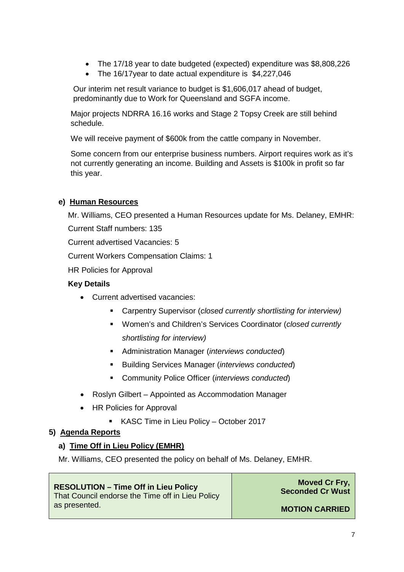- The 17/18 year to date budgeted (expected) expenditure was \$8,808,226
- The 16/17year to date actual expenditure is \$4,227,046

Our interim net result variance to budget is \$1,606,017 ahead of budget, predominantly due to Work for Queensland and SGFA income.

Major projects NDRRA 16.16 works and Stage 2 Topsy Creek are still behind schedule.

We will receive payment of \$600k from the cattle company in November.

Some concern from our enterprise business numbers. Airport requires work as it's not currently generating an income. Building and Assets is \$100k in profit so far this year.

# **e) Human Resources**

Mr. Williams, CEO presented a Human Resources update for Ms. Delaney, EMHR: Current Staff numbers: 135

Current advertised Vacancies: 5

Current Workers Compensation Claims: 1

HR Policies for Approval

## **Key Details**

- Current advertised vacancies:
	- Carpentry Supervisor (*closed currently shortlisting for interview)*
	- Women's and Children's Services Coordinator (*closed currently shortlisting for interview)*
	- Administration Manager (*interviews conducted*)
	- Building Services Manager (*interviews conducted*)
	- Community Police Officer (*interviews conducted*)
- Roslyn Gilbert Appointed as Accommodation Manager
- HR Policies for Approval
	- **KASC Time in Lieu Policy October 2017**

# **5) Agenda Reports**

# **a) Time Off in Lieu Policy (EMHR)**

Mr. Williams, CEO presented the policy on behalf of Ms. Delaney, EMHR.

# **RESOLUTION – Time Off in Lieu Policy**

That Council endorse the Time off in Lieu Policy as presented.

**Moved Cr Fry, Seconded Cr Wust**

**MOTION CARRIED**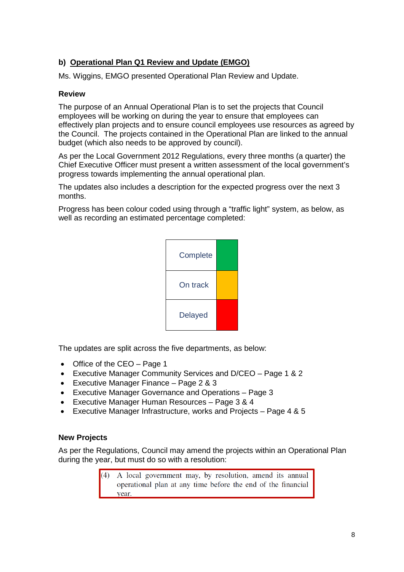# **b) Operational Plan Q1 Review and Update (EMGO)**

Ms. Wiggins, EMGO presented Operational Plan Review and Update.

# **Review**

The purpose of an Annual Operational Plan is to set the projects that Council employees will be working on during the year to ensure that employees can effectively plan projects and to ensure council employees use resources as agreed by the Council. The projects contained in the Operational Plan are linked to the annual budget (which also needs to be approved by council).

As per the Local Government 2012 Regulations, every three months (a quarter) the Chief Executive Officer must present a written assessment of the local government's progress towards implementing the annual operational plan.

The updates also includes a description for the expected progress over the next 3 months.

Progress has been colour coded using through a "traffic light" system, as below, as well as recording an estimated percentage completed:



The updates are split across the five departments, as below:

- Office of the CEO Page 1
- Executive Manager Community Services and D/CEO Page 1 & 2
- Executive Manager Finance Page 2 & 3
- Executive Manager Governance and Operations Page 3
- Executive Manager Human Resources Page 3 & 4
- Executive Manager Infrastructure, works and Projects Page 4 & 5

#### **New Projects**

As per the Regulations, Council may amend the projects within an Operational Plan during the year, but must do so with a resolution:

> A local government may, by resolution, amend its annual  $(4)$ operational plan at any time before the end of the financial vear.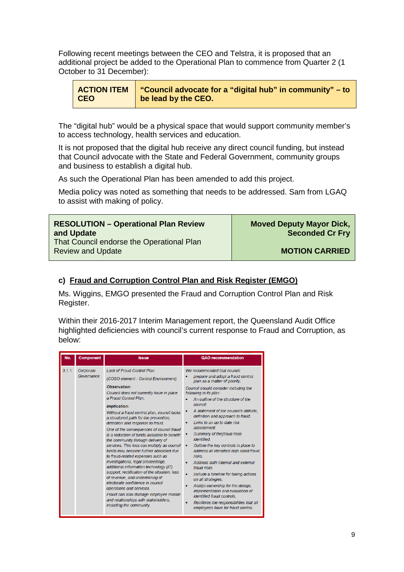Following recent meetings between the CEO and Telstra, it is proposed that an additional project be added to the Operational Plan to commence from Quarter 2 (1 October to 31 December):

| <b>ACTION ITEM</b> | "Council advocate for a "digital hub" in community" – to |
|--------------------|----------------------------------------------------------|
| CEO                | be lead by the CEO.                                      |

The "digital hub" would be a physical space that would support community member's to access technology, health services and education.

It is not proposed that the digital hub receive any direct council funding, but instead that Council advocate with the State and Federal Government, community groups and business to establish a digital hub.

As such the Operational Plan has been amended to add this project.

Media policy was noted as something that needs to be addressed. Sam from LGAQ to assist with making of policy.

| <b>RESOLUTION - Operational Plan Review</b>                           | <b>Moved Deputy Mayor Dick,</b> |
|-----------------------------------------------------------------------|---------------------------------|
| and Update                                                            | <b>Seconded Cr Fry</b>          |
| That Council endorse the Operational Plan<br><b>Review and Update</b> | <b>MOTION CARRIED</b>           |

## **c) Fraud and Corruption Control Plan and Risk Register (EMGO)**

Ms. Wiggins, EMGO presented the Fraud and Corruption Control Plan and Risk Register.

Within their 2016-2017 Interim Management report, the Queensland Audit Office highlighted deficiencies with council's current response to Fraud and Corruption, as below:

| No.   | <b>Component</b>        | <b>Issue</b>                                                                                                                                                                                                                                                                                                                                                                                                                                                                                                                                                                                                                                                                                                                                                                                                                                                                                                                     | QAO recommendation                                                                                                                                                                                                                                                                                                                                                                                                                                                                                                                                                                                                                                                                                                                                                                                                 |
|-------|-------------------------|----------------------------------------------------------------------------------------------------------------------------------------------------------------------------------------------------------------------------------------------------------------------------------------------------------------------------------------------------------------------------------------------------------------------------------------------------------------------------------------------------------------------------------------------------------------------------------------------------------------------------------------------------------------------------------------------------------------------------------------------------------------------------------------------------------------------------------------------------------------------------------------------------------------------------------|--------------------------------------------------------------------------------------------------------------------------------------------------------------------------------------------------------------------------------------------------------------------------------------------------------------------------------------------------------------------------------------------------------------------------------------------------------------------------------------------------------------------------------------------------------------------------------------------------------------------------------------------------------------------------------------------------------------------------------------------------------------------------------------------------------------------|
| 3.1.1 | Corporate<br>Governance | I ack of Fraud Control Plan<br>(COSO element - Control Environment)<br>Observation:<br>Council does not currently have in place<br>a Fraud Control Plan.<br><i><b>Implication:</b></i><br>Without a fraud control plan, council lacks<br>a structured path for the prevention,<br>detection and response to fraud.<br>One of the consequences of council fraud<br>is a reduction of funds available to benefit<br>the community through delivery of<br>services. This loss can multiply as council<br>funds may become further absorbed due<br>to fraud-related expenses such as<br>investigations, legal proceedings,<br>additional information technology (IT)<br>support, rectification of the situation, loss<br>of revenue, and undermining of<br>electorate confidence in council<br>operations and services.<br>Fraud can also damage employee morale<br>and relationships with stakeholders.<br>including the community. | We recommended that council:<br>prepare and adopt a fraud control<br>plan as a matter of priority.<br>Council should consider including the<br>following in its plan:<br>An outline of the structure of the<br>council.<br>A statement of the council's attitude.<br>definition and approach to fraud.<br>Links to an up to date risk<br>assessment.<br>Summary of the fraud risks<br>identified<br>Outline the key controls in place to<br>٠<br>address all identified high rated fraud<br><b>risks</b><br>Address both internal and external<br>fraud risks<br>Include a timeline for taking actions<br>on all strategies.<br>Assign ownership for the design,<br>implementation and evaluation of<br>identified fraud controls.<br>Reinforce the responsibilities that all<br>employees have for fraud control. |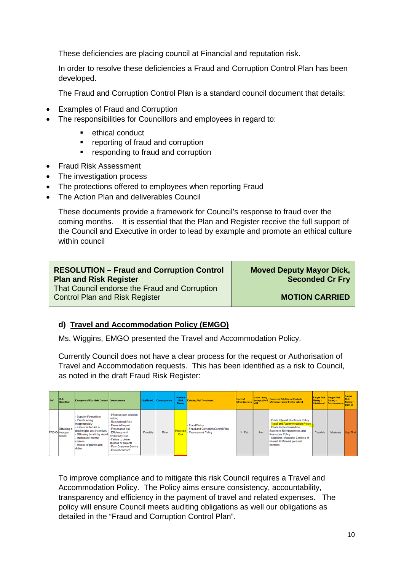These deficiencies are placing council at Financial and reputation risk.

In order to resolve these deficiencies a Fraud and Corruption Control Plan has been developed.

The Fraud and Corruption Control Plan is a standard council document that details:

- Examples of Fraud and Corruption
- The responsibilities for Councillors and employees in regard to:
	- **EXECUTE:** ethical conduct
	- **•** reporting of fraud and corruption
	- **•** responding to fraud and corruption
- Fraud Risk Assessment
- The investigation process
- The protections offered to employees when reporting Fraud
- The Action Plan and deliverables Council

These documents provide a framework for Council's response to fraud over the coming months. It is essential that the Plan and Register receive the full support of the Council and Executive in order to lead by example and promote an ethical culture within council

| <b>RESOLUTION - Fraud and Corruption Control</b>                                       | <b>Moved Deputy Mayor Dick,</b> |
|----------------------------------------------------------------------------------------|---------------------------------|
| <b>Plan and Risk Register</b>                                                          | <b>Seconded Cr Fry</b>          |
| That Council endorse the Fraud and Corruption<br><b>Control Plan and Risk Register</b> | <b>MOTION CARRIED</b>           |

# **d) Travel and Accommodation Policy (EMGO)**

Ms. Wiggins, EMGO presented the Travel and Accommodation Policy.

Currently Council does not have a clear process for the request or Authorisation of Travel and Accommodation requests. This has been identified as a risk to Council, as noted in the draft Fraud Risk Register:

| <b>But</b> | <b>Risk</b><br><b>Identified</b>                 | <b>Examples of Possible Causes Consequence</b>                                                                                                                                                                                     |                                                                                                                                                                                                                                                 | Likelihood | Conseguence | Residual<br><b>Rick</b><br>Rating | <b>Existing Risk Treatment</b>                                            | <b>Control</b><br><b>Elfectiveness</b> | Is risk rating<br>acceptable? | <b>Proposed Additional Controls</b><br>[Actions required to be taken]                                                                                                                                                                        | <b>Target Risk Target Risk</b><br>Rating- | Rating-<br>Likelihood Consequence | Target<br>Rating -<br><b>Overall</b> |
|------------|--------------------------------------------------|------------------------------------------------------------------------------------------------------------------------------------------------------------------------------------------------------------------------------------|-------------------------------------------------------------------------------------------------------------------------------------------------------------------------------------------------------------------------------------------------|------------|-------------|-----------------------------------|---------------------------------------------------------------------------|----------------------------------------|-------------------------------|----------------------------------------------------------------------------------------------------------------------------------------------------------------------------------------------------------------------------------------------|-------------------------------------------|-----------------------------------|--------------------------------------|
|            | <b>Obtaining a</b><br>FRD004improper<br>benefit. | <b>Supplier Favouritism</b><br>- People acting<br>inappropriately<br>Failure to declare or<br>decline gifts and incentives<br>- Obtaining benefit by deceit<br>- Inadequate internal<br>controls<br>Misuse of powers and<br>duties | - Influence over decision-<br>making<br>Reputational Risk<br>- Financial Impact<br>- Prosecution risk<br><b>Efficiency and</b><br>productivity loss<br>- Failure to deliver<br>services or projects<br>Poor Customer Service<br>Corrupt conduct | Possible   | Minor       | Moderate<br>Risk                  | Fraud Policy<br>- Fraud and Corruption Control Plan<br>Procurement Policy | $3 - Fair$                             | No                            | - Public Interest Disclosure Policy<br>- Travel and Accommodation Policy<br>- Councillor Remuneration.<br>Expenses Reimbursement and<br>Resources Policy<br>- Guideline: Managing Conflicts of<br>Interest & Material personal<br>linterests | Possible                                  | Moderate                          | ligh Risk                            |

To improve compliance and to mitigate this risk Council requires a Travel and Accommodation Policy. The Policy aims ensure consistency, accountability, transparency and efficiency in the payment of travel and related expenses. The policy will ensure Council meets auditing obligations as well our obligations as detailed in the "Fraud and Corruption Control Plan".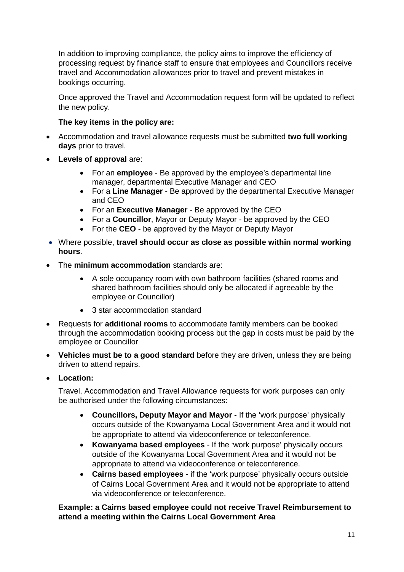In addition to improving compliance, the policy aims to improve the efficiency of processing request by finance staff to ensure that employees and Councillors receive travel and Accommodation allowances prior to travel and prevent mistakes in bookings occurring.

Once approved the Travel and Accommodation request form will be updated to reflect the new policy.

# **The key items in the policy are:**

- Accommodation and travel allowance requests must be submitted **two full working days** prior to travel.
- **Levels of approval** are:
	- For an **employee** Be approved by the employee's departmental line manager, departmental Executive Manager and CEO
	- For a **Line Manager** Be approved by the departmental Executive Manager and CEO
	- For an **Executive Manager** Be approved by the CEO
	- For a **Councillor**, Mayor or Deputy Mayor be approved by the CEO
	- For the **CEO** be approved by the Mayor or Deputy Mayor
- Where possible, **travel should occur as close as possible within normal working hours**.
- The **minimum accommodation** standards are:
	- A sole occupancy room with own bathroom facilities (shared rooms and shared bathroom facilities should only be allocated if agreeable by the employee or Councillor)
	- 3 star accommodation standard
- Requests for **additional rooms** to accommodate family members can be booked through the accommodation booking process but the gap in costs must be paid by the employee or Councillor
- **Vehicles must be to a good standard** before they are driven, unless they are being driven to attend repairs.
- **Location:**

Travel, Accommodation and Travel Allowance requests for work purposes can only be authorised under the following circumstances:

- **Councillors, Deputy Mayor and Mayor** If the 'work purpose' physically occurs outside of the Kowanyama Local Government Area and it would not be appropriate to attend via videoconference or teleconference.
- **Kowanyama based employees** If the 'work purpose' physically occurs outside of the Kowanyama Local Government Area and it would not be appropriate to attend via videoconference or teleconference.
- **Cairns based employees** if the 'work purpose' physically occurs outside of Cairns Local Government Area and it would not be appropriate to attend via videoconference or teleconference.

**Example: a Cairns based employee could not receive Travel Reimbursement to attend a meeting within the Cairns Local Government Area**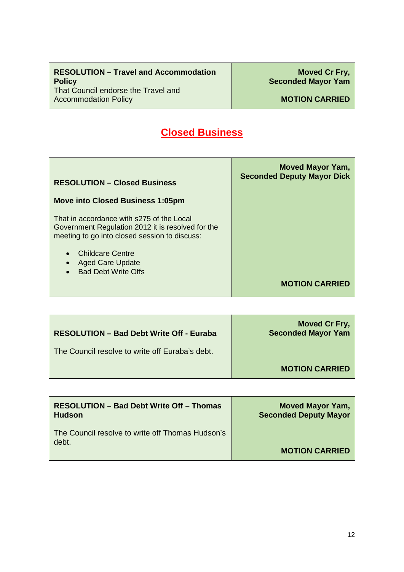# **Closed Business**

| <b>RESOLUTION - Closed Business</b>                                                                                                             | Moved Mayor Yam,<br><b>Seconded Deputy Mayor Dick</b> |
|-------------------------------------------------------------------------------------------------------------------------------------------------|-------------------------------------------------------|
| <b>Move into Closed Business 1:05pm</b>                                                                                                         |                                                       |
| That in accordance with s275 of the Local<br>Government Regulation 2012 it is resolved for the<br>meeting to go into closed session to discuss: |                                                       |
| <b>Childcare Centre</b><br><b>Aged Care Update</b><br><b>Bad Debt Write Offs</b>                                                                |                                                       |
|                                                                                                                                                 | <b>MOTION CARRIED</b>                                 |

| <b>RESOLUTION - Bad Debt Write Off - Euraba</b> | Moved Cr Fry,<br><b>Seconded Mayor Yam</b> |
|-------------------------------------------------|--------------------------------------------|
| The Council resolve to write off Euraba's debt. |                                            |
|                                                 | <b>MOTION CARRIED</b>                      |

| <b>RESOLUTION - Bad Debt Write Off - Thomas</b><br><b>Hudson</b> | <b>Moved Mayor Yam,</b><br><b>Seconded Deputy Mayor</b> |
|------------------------------------------------------------------|---------------------------------------------------------|
| The Council resolve to write off Thomas Hudson's<br>debt.        |                                                         |
|                                                                  | <b>MOTION CARRIED</b>                                   |